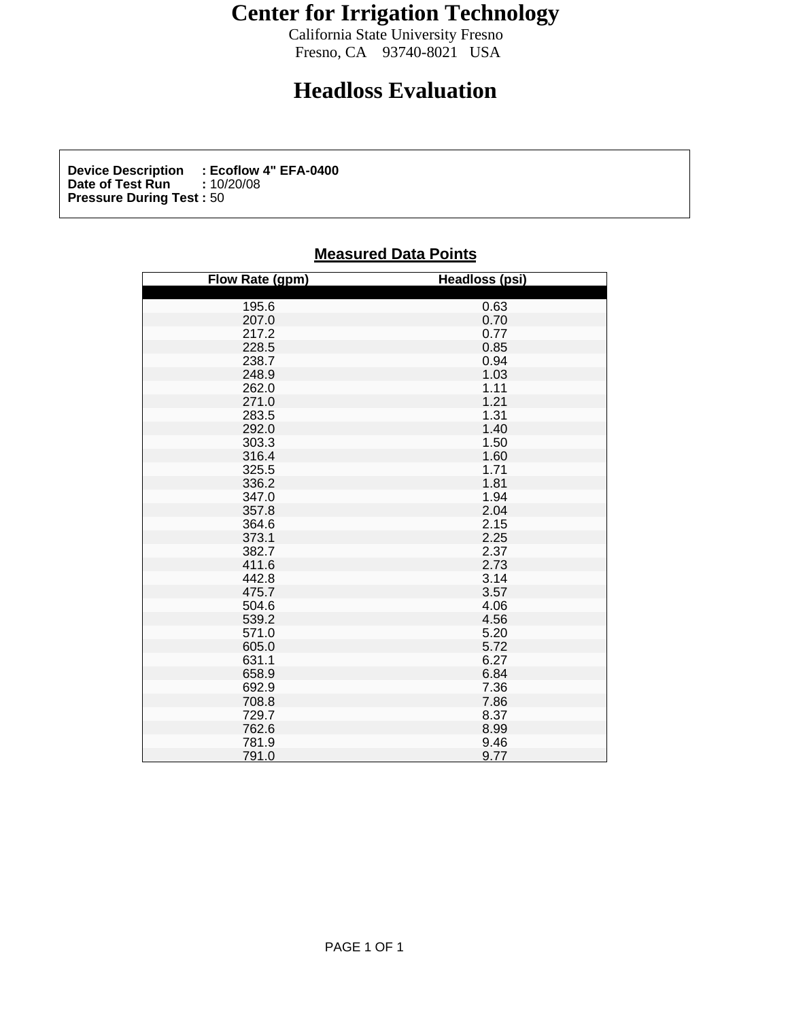## **Center for Irrigation Technology**

California State University Fresno<br>Fresno, CA 93740-8021 USA Fresno, CA 93740-8021 USA

## **Headloss Evaluation**

**Device Description : Ecoflow 4" EFA-0400**<br>Date of Test Run : 10/20/08 **Date of Test Run :** 10/20/08 **Pressure During Test :** 50

## **Measured Data Points**

| Flow Rate (gpm) | Headloss (psi)                                                                                                                                                                                                                                |
|-----------------|-----------------------------------------------------------------------------------------------------------------------------------------------------------------------------------------------------------------------------------------------|
|                 |                                                                                                                                                                                                                                               |
|                 |                                                                                                                                                                                                                                               |
|                 |                                                                                                                                                                                                                                               |
|                 |                                                                                                                                                                                                                                               |
|                 |                                                                                                                                                                                                                                               |
|                 |                                                                                                                                                                                                                                               |
|                 |                                                                                                                                                                                                                                               |
|                 |                                                                                                                                                                                                                                               |
|                 |                                                                                                                                                                                                                                               |
|                 |                                                                                                                                                                                                                                               |
|                 |                                                                                                                                                                                                                                               |
|                 |                                                                                                                                                                                                                                               |
|                 |                                                                                                                                                                                                                                               |
|                 |                                                                                                                                                                                                                                               |
|                 |                                                                                                                                                                                                                                               |
|                 |                                                                                                                                                                                                                                               |
|                 |                                                                                                                                                                                                                                               |
|                 |                                                                                                                                                                                                                                               |
|                 |                                                                                                                                                                                                                                               |
|                 |                                                                                                                                                                                                                                               |
|                 |                                                                                                                                                                                                                                               |
|                 |                                                                                                                                                                                                                                               |
|                 |                                                                                                                                                                                                                                               |
|                 |                                                                                                                                                                                                                                               |
|                 |                                                                                                                                                                                                                                               |
|                 |                                                                                                                                                                                                                                               |
|                 |                                                                                                                                                                                                                                               |
|                 |                                                                                                                                                                                                                                               |
|                 |                                                                                                                                                                                                                                               |
|                 |                                                                                                                                                                                                                                               |
|                 |                                                                                                                                                                                                                                               |
|                 |                                                                                                                                                                                                                                               |
|                 |                                                                                                                                                                                                                                               |
|                 |                                                                                                                                                                                                                                               |
|                 | 0.63<br>0.77 0.85<br>0.94 0.311 1.21 1.40<br>0.67 1.85 0.67 1.81 4.94 4.55 2.73 1.4 5.72 2.73 1.4 5.66<br>0.72 7.85 2.73 1.45 5.20<br>0.65 2.72 2.73 1.45 5.20<br>0.72 7.85 8.37<br>0.65 2.72 3.14 5.52 0.72 7.88 3.79<br>0.83 7.86 9.94 9.77 |